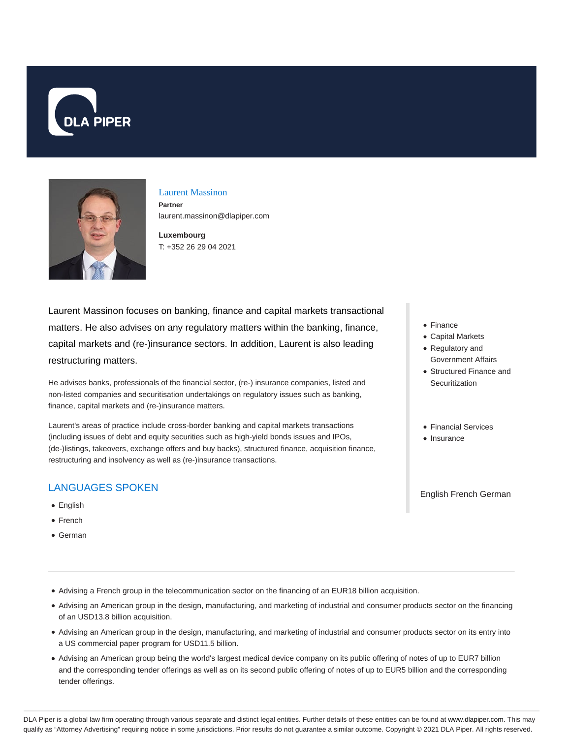



### Laurent Massinon

**Partner** laurent.massinon@dlapiper.com

**Luxembourg** T: +352 26 29 04 2021

Laurent Massinon focuses on banking, finance and capital markets transactional matters. He also advises on any regulatory matters within the banking, finance, capital markets and (re-)insurance sectors. In addition, Laurent is also leading restructuring matters.

He advises banks, professionals of the financial sector, (re-) insurance companies, listed and non-listed companies and securitisation undertakings on regulatory issues such as banking, finance, capital markets and (re-)insurance matters.

Laurent's areas of practice include cross-border banking and capital markets transactions (including issues of debt and equity securities such as high-yield bonds issues and IPOs, (de-)listings, takeovers, exchange offers and buy backs), structured finance, acquisition finance, restructuring and insolvency as well as (re-)insurance transactions.

# LANGUAGES SPOKEN

- **•** English
- French
- German
- Finance
- Capital Markets
- Regulatory and Government Affairs
- Structured Finance and **Securitization**
- Financial Services
- Insurance

English French German

- Advising a French group in the telecommunication sector on the financing of an EUR18 billion acquisition.
- Advising an American group in the design, manufacturing, and marketing of industrial and consumer products sector on the financing of an USD13.8 billion acquisition.
- Advising an American group in the design, manufacturing, and marketing of industrial and consumer products sector on its entry into a US commercial paper program for USD11.5 billion.
- Advising an American group being the world's largest medical device company on its public offering of notes of up to EUR7 billion and the corresponding tender offerings as well as on its second public offering of notes of up to EUR5 billion and the corresponding tender offerings.

DLA Piper is a global law firm operating through various separate and distinct legal entities. Further details of these entities can be found at www.dlapiper.com. This may qualify as "Attorney Advertising" requiring notice in some jurisdictions. Prior results do not guarantee a similar outcome. Copyright @ 2021 DLA Piper. All rights reserved.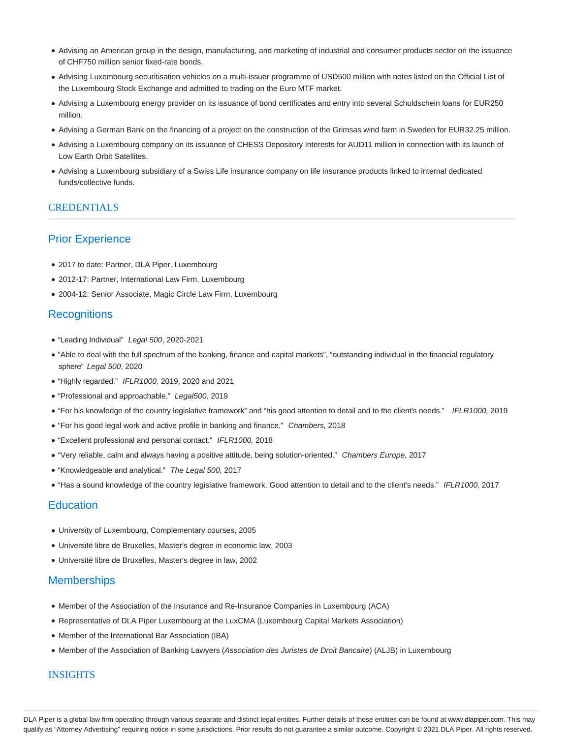- Advising an American group in the design, manufacturing, and marketing of industrial and consumer products sector on the issuance of CHF750 million senior fixed-rate bonds.
- Advising Luxembourg securitisation vehicles on a multi-issuer programme of USD500 million with notes listed on the Official List of the Luxembourg Stock Exchange and admitted to trading on the Euro MTF market.
- Advising a Luxembourg energy provider on its issuance of bond certificates and entry into several Schuldschein loans for EUR250 million.
- Advising a German Bank on the financing of a project on the construction of the Grimsas wind farm in Sweden for EUR32.25 million.
- Advising a Luxembourg company on its issuance of CHESS Depository Interests for AUD11 million in connection with its launch of Low Earth Orbit Satellites.
- Advising a Luxembourg subsidiary of a Swiss Life insurance company on life insurance products linked to internal dedicated funds/collective funds.

### **CREDENTIALS**

## Prior Experience

- 2017 to date: Partner, DLA Piper, Luxembourg
- 2012-17: Partner, International Law Firm, Luxembourg
- 2004-12: Senior Associate, Magic Circle Law Firm, Luxembourg

## **Recognitions**

- "Leading Individual" Legal 500, 2020-2021
- "Able to deal with the full spectrum of the banking, finance and capital markets", "outstanding individual in the financial regulatory sphere" Legal 500, 2020
- "Highly regarded." IFLR1000, 2019, 2020 and 2021
- "Professional and approachable." Legal500, 2019
- . "For his knowledge of the country legislative framework" and "his good attention to detail and to the client's needs." IFLR1000, 2019
- "For his good legal work and active profile in banking and finance." Chambers, 2018
- "Excellent professional and personal contact." IFLR1000, 2018
- "Very reliable, calm and always having a positive attitude, being solution-oriented." Chambers Europe, 2017
- "Knowledgeable and analytical." The Legal 500, 2017
- "Has a sound knowledge of the country legislative framework. Good attention to detail and to the client's needs." IFLR1000, 2017

## **Education**

- University of Luxembourg, Complementary courses, 2005
- Université libre de Bruxelles, Master's degree in economic law, 2003
- Université libre de Bruxelles, Master's degree in law, 2002

# **Memberships**

- Member of the Association of the Insurance and Re-Insurance Companies in Luxembourg (ACA)
- Representative of DLA Piper Luxembourg at the LuxCMA (Luxembourg Capital Markets Association)
- Member of the International Bar Association (IBA)
- Member of the Association of Banking Lawyers (Association des Juristes de Droit Bancaire) (ALJB) in Luxembourg

### INSIGHTS

DLA Piper is a global law firm operating through various separate and distinct legal entities. Further details of these entities can be found at www.dlapiper.com. This may qualify as "Attorney Advertising" requiring notice in some jurisdictions. Prior results do not guarantee a similar outcome. Copyright © 2021 DLA Piper. All rights reserved.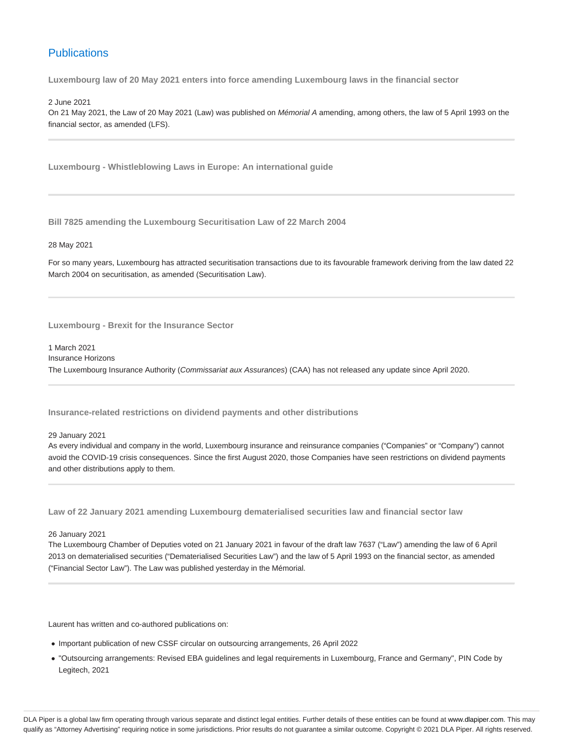# **Publications**

**Luxembourg law of 20 May 2021 enters into force amending Luxembourg laws in the financial sector**

2 June 2021

On 21 May 2021, the Law of 20 May 2021 (Law) was published on Mémorial A amending, among others, the law of 5 April 1993 on the financial sector, as amended (LFS).

**Luxembourg - Whistleblowing Laws in Europe: An international guide**

**Bill 7825 amending the Luxembourg Securitisation Law of 22 March 2004**

28 May 2021

For so many years, Luxembourg has attracted securitisation transactions due to its favourable framework deriving from the law dated 22 March 2004 on securitisation, as amended (Securitisation Law).

**Luxembourg - Brexit for the Insurance Sector**

1 March 2021 Insurance Horizons The Luxembourg Insurance Authority (Commissariat aux Assurances) (CAA) has not released any update since April 2020.

**Insurance-related restrictions on dividend payments and other distributions**

29 January 2021

As every individual and company in the world, Luxembourg insurance and reinsurance companies ("Companies" or "Company") cannot avoid the COVID-19 crisis consequences. Since the first August 2020, those Companies have seen restrictions on dividend payments and other distributions apply to them.

**Law of 22 January 2021 amending Luxembourg dematerialised securities law and financial sector law**

26 January 2021

The Luxembourg Chamber of Deputies voted on 21 January 2021 in favour of the draft law 7637 ("Law") amending the law of 6 April 2013 on dematerialised securities ("Dematerialised Securities Law") and the law of 5 April 1993 on the financial sector, as amended ("Financial Sector Law"). The Law was published yesterday in the Mémorial.

Laurent has written and co-authored publications on:

- Important publication of new CSSF circular on outsourcing arrangements, 26 April 2022
- "Outsourcing arrangements: Revised EBA guidelines and legal requirements in Luxembourg, France and Germany", PIN Code by Legitech, 2021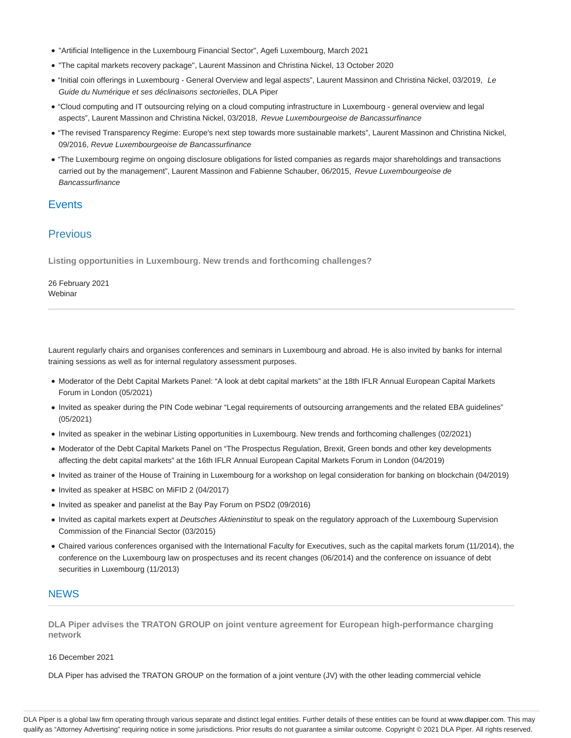- "Artificial Intelligence in the Luxembourg Financial Sector", Agefi Luxembourg, March 2021
- "The capital markets recovery package", Laurent Massinon and Christina Nickel, 13 October 2020
- "Initial coin offerings in Luxembourg General Overview and legal aspects", Laurent Massinon and Christina Nickel, 03/2019, Le Guide du Numérique et ses déclinaisons sectorielles, DLA Piper
- "Cloud computing and IT outsourcing relying on a cloud computing infrastructure in Luxembourg general overview and legal aspects", Laurent Massinon and Christina Nickel, 03/2018, Revue Luxembourgeoise de Bancassurfinance
- "The revised Transparency Regime: Europe's next step towards more sustainable markets", Laurent Massinon and Christina Nickel, 09/2016, Revue Luxembourgeoise de Bancassurfinance
- "The Luxembourg regime on ongoing disclosure obligations for listed companies as regards major shareholdings and transactions carried out by the management", Laurent Massinon and Fabienne Schauber, 06/2015, Revue Luxembourgeoise de Bancassurfinance

## **Events**

## **Previous**

**Listing opportunities in Luxembourg. New trends and forthcoming challenges?**

26 February 2021 Webinar

Laurent regularly chairs and organises conferences and seminars in Luxembourg and abroad. He is also invited by banks for internal training sessions as well as for internal regulatory assessment purposes.

- Moderator of the Debt Capital Markets Panel: "A look at debt capital markets" at the 18th IFLR Annual European Capital Markets Forum in London (05/2021)
- Invited as speaker during the PIN Code webinar "Legal requirements of outsourcing arrangements and the related EBA guidelines" (05/2021)
- Invited as speaker in the webinar Listing opportunities in Luxembourg. New trends and forthcoming challenges (02/2021)
- Moderator of the Debt Capital Markets Panel on "The Prospectus Regulation, Brexit, Green bonds and other key developments affecting the debt capital markets" at the 16th IFLR Annual European Capital Markets Forum in London (04/2019)
- Invited as trainer of the House of Training in Luxembourg for a workshop on legal consideration for banking on blockchain (04/2019)
- Invited as speaker at HSBC on MiFID 2 (04/2017)
- Invited as speaker and panelist at the Bay Pay Forum on PSD2 (09/2016)
- Invited as capital markets expert at Deutsches Aktieninstitut to speak on the regulatory approach of the Luxembourg Supervision Commission of the Financial Sector (03/2015)
- Chaired various conferences organised with the International Faculty for Executives, such as the capital markets forum (11/2014), the conference on the Luxembourg law on prospectuses and its recent changes (06/2014) and the conference on issuance of debt securities in Luxembourg (11/2013)

### **NEWS**

**DLA Piper advises the TRATON GROUP on joint venture agreement for European high-performance charging network**

16 December 2021

DLA Piper has advised the TRATON GROUP on the formation of a joint venture (JV) with the other leading commercial vehicle

DLA Piper is a global law firm operating through various separate and distinct legal entities. Further details of these entities can be found at www.dlapiper.com. This may qualify as "Attorney Advertising" requiring notice in some jurisdictions. Prior results do not guarantee a similar outcome. Copyright © 2021 DLA Piper. All rights reserved.